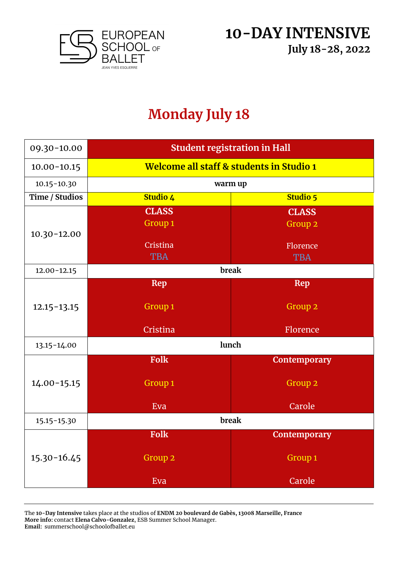

# **Monday July 18**

| 09.30-10.00     | <b>Student registration in Hall</b>      |                                    |  |
|-----------------|------------------------------------------|------------------------------------|--|
| $10.00 - 10.15$ | Welcome all staff & students in Studio 1 |                                    |  |
| $10.15 - 10.30$ |                                          | warm up                            |  |
| Time / Studios  | Studio 4                                 | <b>Studio 5</b>                    |  |
| $10.30 - 12.00$ | <b>CLASS</b><br>Group <sub>1</sub>       | <b>CLASS</b><br>Group <sub>2</sub> |  |
|                 | Cristina<br><b>TBA</b>                   | Florence<br><b>TBA</b>             |  |
| $12.00 - 12.15$ |                                          | break                              |  |
|                 | <b>Rep</b>                               | <b>Rep</b>                         |  |
| $12.15 - 13.15$ | Group 1                                  | Group 2                            |  |
|                 | Cristina                                 | Florence                           |  |
| 13.15-14.00     | lunch                                    |                                    |  |
|                 | Folk                                     | Contemporary                       |  |
| $14.00 - 15.15$ | Group 1                                  | Group 2                            |  |
|                 | Eva                                      | Carole                             |  |
| 15.15-15.30     | break                                    |                                    |  |
|                 | <b>Folk</b>                              | <b>Contemporary</b>                |  |
| $15.30 - 16.45$ | Group <sub>2</sub>                       | Group <sub>1</sub>                 |  |
|                 | Eva                                      | Carole                             |  |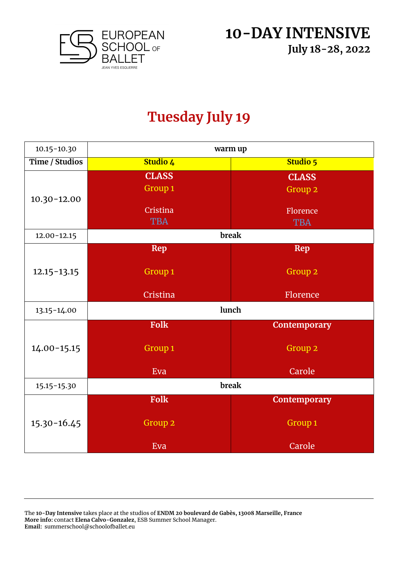

### **Tuesday July 19**

| $10.15 - 10.30$ | warm up                            |                                    |  |
|-----------------|------------------------------------|------------------------------------|--|
| Time / Studios  | Studio 4                           | Studio 5                           |  |
| $10.30 - 12.00$ | <b>CLASS</b><br>Group <sub>1</sub> | <b>CLASS</b><br>Group <sub>2</sub> |  |
|                 | <b>Cristina</b><br><b>TBA</b>      | Florence<br><b>TBA</b>             |  |
| $12.00 - 12.15$ |                                    | break                              |  |
|                 | <b>Rep</b>                         | <b>Rep</b>                         |  |
| $12.15 - 13.15$ | Group 1                            | Group <sub>2</sub>                 |  |
|                 | Cristina                           | Florence                           |  |
| 13.15-14.00     |                                    | lunch                              |  |
|                 | <b>Folk</b>                        | Contemporary                       |  |
| $14.00 - 15.15$ | Group <sub>1</sub>                 | Group <sub>2</sub>                 |  |
|                 | <b>Eva</b>                         | Carole                             |  |
| 15.15-15.30     |                                    | break                              |  |
|                 | Folk                               | Contemporary                       |  |
| $15.30 - 16.45$ | Group <sub>2</sub>                 | Group 1                            |  |
|                 | Eva                                | Carole                             |  |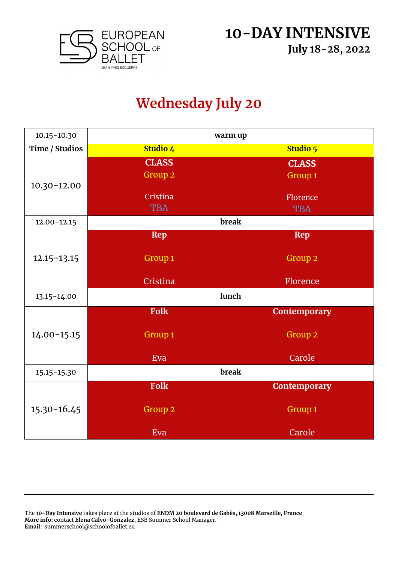

# **Wednesday July 20**

| $10.15 - 10.30$ | warm up            |                    |  |
|-----------------|--------------------|--------------------|--|
| Time / Studios  | Studio 4           | Studio 5           |  |
|                 | <b>CLASS</b>       | <b>CLASS</b>       |  |
| $10.30 - 12.00$ | Group <sub>2</sub> | Group <sub>1</sub> |  |
|                 | Cristina           | Florence           |  |
|                 | <b>TBA</b>         | <b>TBA</b>         |  |
| $12.00 - 12.15$ |                    | break              |  |
|                 | <b>Rep</b>         | Rep                |  |
| $12.15 - 13.15$ | Group 1            | Group 2            |  |
|                 | Cristina           | Florence           |  |
| 13.15-14.00     |                    | lunch              |  |
|                 | Folk               | Contemporary       |  |
| $14.00 - 15.15$ | Group <sub>1</sub> | Group <sub>2</sub> |  |
|                 | Eva                | Carole             |  |
| 15.15-15.30     | break              |                    |  |
|                 | Folk               | Contemporary       |  |
| $15.30 - 16.45$ | Group 2            | Group 1            |  |
|                 | Eva                | Carole             |  |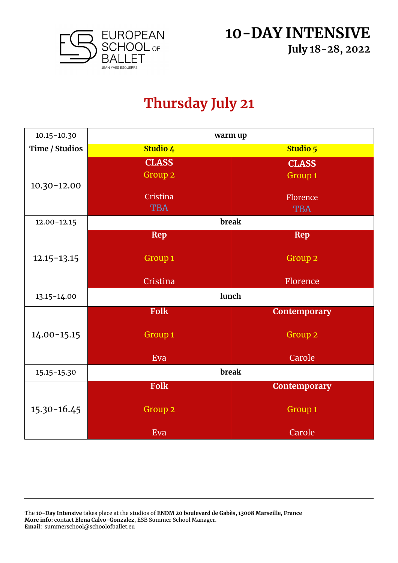

## **Thursday July 21**

| $10.15 - 10.30$ |                                    | warm up                 |  |
|-----------------|------------------------------------|-------------------------|--|
| Time / Studios  | Studio 4                           | Studio 5                |  |
| $10.30 - 12.00$ | <b>CLASS</b><br>Group <sub>2</sub> | <b>CLASS</b><br>Group 1 |  |
|                 | <b>Cristina</b><br><b>TBA</b>      | Florence<br><b>TBA</b>  |  |
| $12.00 - 12.15$ |                                    | break                   |  |
|                 | Rep                                | <b>Rep</b>              |  |
| $12.15 - 13.15$ | Group <sub>1</sub>                 | Group <sub>2</sub>      |  |
|                 | Cristina                           | Florence                |  |
| 13.15-14.00     |                                    | lunch                   |  |
|                 | Folk                               | Contemporary            |  |
| $14.00 - 15.15$ | Group <sub>1</sub>                 | Group 2                 |  |
|                 | Eva                                | Carole                  |  |
| 15.15-15.30     |                                    | break                   |  |
|                 | Folk                               | Contemporary            |  |
| $15.30 - 16.45$ | Group <sub>2</sub>                 | Group <sub>1</sub>      |  |
|                 | Eva                                | Carole                  |  |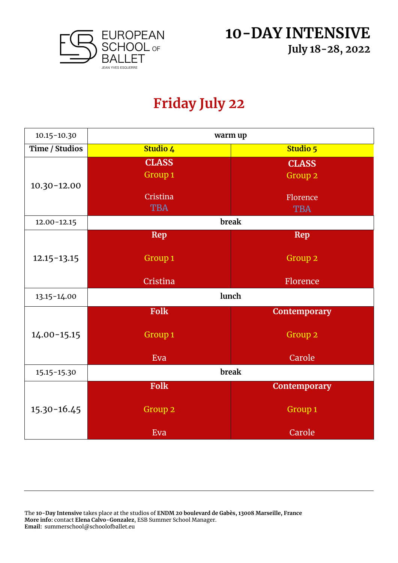

### **Friday July 22**

| $10.15 - 10.30$ | warm up                            |                                    |  |
|-----------------|------------------------------------|------------------------------------|--|
| Time / Studios  | Studio 4                           | Studio 5                           |  |
|                 | <b>CLASS</b><br>Group <sub>1</sub> | <b>CLASS</b><br>Group <sub>2</sub> |  |
| $10.30 - 12.00$ | Cristina<br><b>TBA</b>             | Florence<br><b>TBA</b>             |  |
| $12.00 - 12.15$ |                                    | break                              |  |
|                 | <b>Rep</b>                         | <b>Rep</b>                         |  |
| $12.15 - 13.15$ | Group <sub>1</sub>                 | Group <sub>2</sub>                 |  |
|                 | Cristina                           | Florence                           |  |
| 13.15-14.00     |                                    | lunch                              |  |
|                 | Folk                               | Contemporary                       |  |
| $14.00 - 15.15$ | Group <sub>1</sub>                 | Group <sub>2</sub>                 |  |
|                 | Eva                                | Carole                             |  |
| 15.15-15.30     |                                    | break                              |  |
|                 | <b>Folk</b>                        | Contemporary                       |  |
| $15.30 - 16.45$ | Group <sub>2</sub>                 | Group 1                            |  |
|                 | Eva                                | Carole                             |  |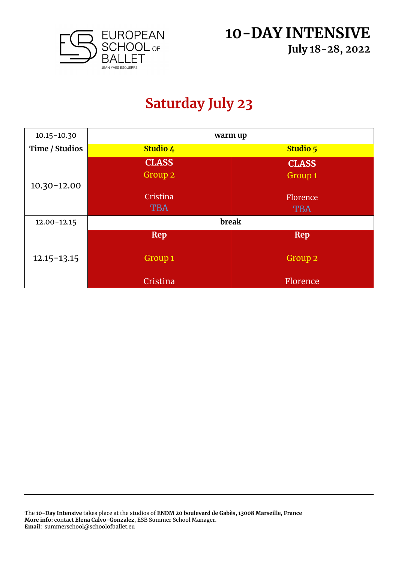



#### **Saturday July 23**

| $10.15 - 10.30$ | warm up                 |                         |  |
|-----------------|-------------------------|-------------------------|--|
| Time / Studios  | Studio 4                | <b>Studio 5</b>         |  |
|                 | <b>CLASS</b><br>Group 2 | <b>CLASS</b><br>Group 1 |  |
| $10.30 - 12.00$ | Cristina<br><b>TBA</b>  | Florence<br><b>TBA</b>  |  |
| $12.00 - 12.15$ |                         | break                   |  |
|                 | Rep                     | Rep                     |  |
| $12.15 - 13.15$ | Group 1                 | Group <sub>2</sub>      |  |
|                 | Cristina                | Florence                |  |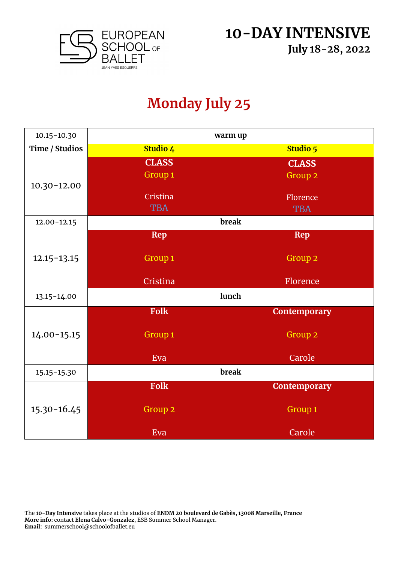

### **Monday July 25**

| $10.15 - 10.30$ | warm up                            |                                    |  |
|-----------------|------------------------------------|------------------------------------|--|
| Time / Studios  | Studio 4                           | Studio 5                           |  |
|                 | <b>CLASS</b><br>Group <sub>1</sub> | <b>CLASS</b><br>Group <sub>2</sub> |  |
| $10.30 - 12.00$ | Cristina<br><b>TBA</b>             | Florence<br><b>TBA</b>             |  |
| $12.00 - 12.15$ |                                    | break                              |  |
|                 | <b>Rep</b>                         | <b>Rep</b>                         |  |
| $12.15 - 13.15$ | Group <sub>1</sub>                 | Group <sub>2</sub>                 |  |
|                 | Cristina                           | Florence                           |  |
| 13.15-14.00     |                                    | lunch                              |  |
|                 | Folk                               | Contemporary                       |  |
| $14.00 - 15.15$ | Group <sub>1</sub>                 | Group <sub>2</sub>                 |  |
|                 | Eva                                | Carole                             |  |
| 15.15-15.30     |                                    | break                              |  |
|                 | <b>Folk</b>                        | Contemporary                       |  |
| $15.30 - 16.45$ | Group <sub>2</sub>                 | Group 1                            |  |
|                 | Eva                                | Carole                             |  |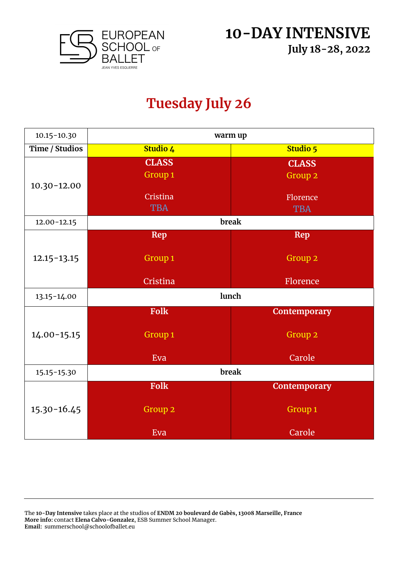

## **Tuesday July 26**

| $10.15 - 10.30$ | warm up                            |                                    |  |
|-----------------|------------------------------------|------------------------------------|--|
| Time / Studios  | Studio 4                           | Studio 5                           |  |
| $10.30 - 12.00$ | <b>CLASS</b><br>Group <sub>1</sub> | <b>CLASS</b><br>Group <sub>2</sub> |  |
|                 | Cristina<br><b>TBA</b>             | Florence<br><b>TBA</b>             |  |
| $12.00 - 12.15$ |                                    | break                              |  |
|                 | <b>Rep</b>                         | Rep                                |  |
| $12.15 - 13.15$ | Group 1                            | Group 2                            |  |
|                 | Cristina                           | Florence                           |  |
| 13.15-14.00     |                                    | lunch                              |  |
|                 | Folk                               | Contemporary                       |  |
| $14.00 - 15.15$ | Group <sub>1</sub>                 | Group <sub>2</sub>                 |  |
|                 | Eva                                | Carole                             |  |
| 15.15-15.30     |                                    | break                              |  |
|                 | <b>Folk</b>                        | Contemporary                       |  |
| $15.30 - 16.45$ | Group 2                            | Group <sub>1</sub>                 |  |
|                 | Eva                                | Carole                             |  |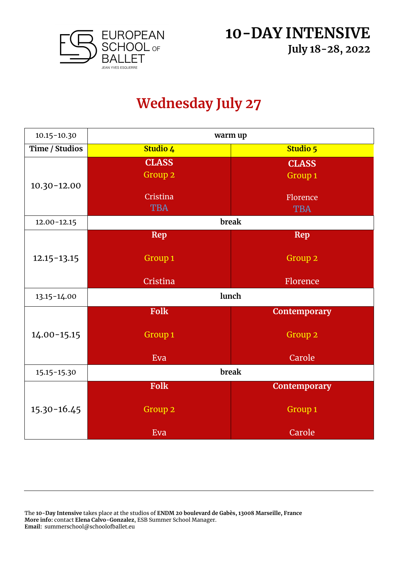

# **Wednesday July 27**

| $10.15 - 10.30$ | warm up                            |                         |  |
|-----------------|------------------------------------|-------------------------|--|
| Time / Studios  | Studio 4                           | Studio 5                |  |
| $10.30 - 12.00$ | <b>CLASS</b><br>Group <sub>2</sub> | <b>CLASS</b><br>Group 1 |  |
|                 | Cristina<br><b>TBA</b>             | Florence<br><b>TBA</b>  |  |
| $12.00 - 12.15$ |                                    | break                   |  |
|                 | <b>Rep</b>                         | Rep                     |  |
| $12.15 - 13.15$ | Group <sub>1</sub>                 | Group <sub>2</sub>      |  |
|                 | <b>Cristina</b>                    | Florence                |  |
| 13.15-14.00     |                                    | lunch                   |  |
|                 | Folk                               | Contemporary            |  |
| $14.00 - 15.15$ | Group <sub>1</sub>                 | Group 2                 |  |
|                 | Eva                                | Carole                  |  |
| 15.15-15.30     |                                    | break                   |  |
|                 | Folk                               | <b>Contemporary</b>     |  |
| $15.30 - 16.45$ | Group <sub>2</sub>                 | Group <sub>1</sub>      |  |
|                 | Eva                                | Carole                  |  |